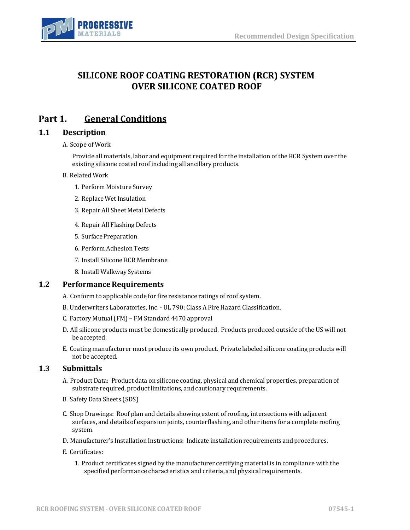

# **SILICONE ROOF COATING RESTORATION (RCR) SYSTEM OVER SILICONE COATED ROOF**

# **Part 1. General Conditions**

## **1.1 Description**

#### A. Scope of Work

Provide all materials, labor and equipment required for the installation of the RCR System over the existing silicone coated roof including all ancillary products.

- B. Related Work
	- 1. Perform Moisture Survey
	- 2. Replace Wet Insulation
	- 3. Repair All Sheet Metal Defects
	- 4. Repair All Flashing Defects
	- 5. Surface Preparation
	- 6. Perform Adhesion Tests
	- 7. Install Silicone RCR Membrane
	- 8. Install Walkway Systems

### **1.2** Performance Requirements

- A. Conform to applicable code for fire resistance ratings of roof system.
- B. Underwriters Laboratories, Inc. UL 790: Class A Fire Hazard Classification.
- C. Factory Mutual(FM) FM Standard 4470 approval
- D. All silicone products must be domestically produced. Products produced outside of the US will not be accepted.
- E. Coating manufacturer must produce its own product. Private labeled silicone coating products will not be accepted.

## **1.3 Submittals**

- A. Product Data: Product data on silicone coating, physical and chemical properties, preparation of substrate required, product limitations, and cautionary requirements.
- B. Safety Data Sheets (SDS)
- C. Shop Drawings: Roof plan and details showing extent of roofing, intersections with adjacent surfaces, and details of expansion joints, counterflashing, and other items for a complete roofing system.
- D. Manufacturer's Installation Instructions: Indicate installation requirements and procedures.
- E. Certificates:
	- 1. Product certificates signed by the manufacturer certifying material is in compliance with the specified performance characteristics and criteria, and physical requirements.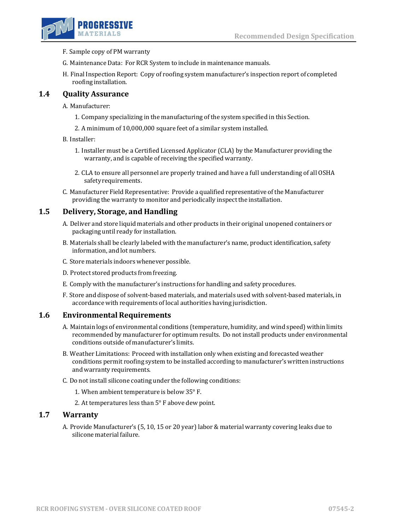

- F. Sample copy of PM warranty
- G. Maintenance Data: For RCR System to include in maintenance manuals.
- H. Final Inspection Report: Copy of roofing system manufacturer's inspection report of completed roofinginstallation.

### **1.4 Quality Assurance**

A. Manufacturer:

- 1. Company specializing in the manufacturing of the system specified in this Section.
- 2. A minimum of 10,000,000 square feet of a similar system installed.
- B. Installer:
	- 1. Installer must be a Certified Licensed Applicator (CLA) by the Manufacturer providing the warranty, and is capable of receiving the specified warranty.
	- 2. CLA to ensure all personnel are properly trained and have a full understanding of all OSHA safety requirements.
- C. Manufacturer Field Representative: Provide a qualified representative ofthe Manufacturer providing the warranty to monitor and periodically inspect the installation.

## **1.5 Delivery, Storage, and Handling**

- A. Deliver and store liquid materials and other products in their original unopened containers or packaging until ready for installation.
- B. Materials shall be clearly labeled with the manufacturer's name, product identification, safety information, and lot numbers.
- C. Store materials indoors whenever possible.
- D. Protect stored products from freezing.
- E. Comply with the manufacturer's instructions for handling and safety procedures.
- F. Store and dispose of solvent-based materials, and materials used with solvent-based materials, in accordance with requirements of local authorities having jurisdiction.

#### **1.6 Environmental Requirements**

- A. Maintain logs of environmental conditions (temperature, humidity, and wind speed) within limits recommended by manufacturer for optimum results. Do not install products under environmental conditions outside of manufacturer's limits.
- B. Weather Limitations: Proceed with installation only when existing and forecasted weather conditions permit roofing system to be installed according to manufacturer's written instructions and warranty requirements.
- C. Do not install silicone coating under the following conditions:
	- 1. When ambient temperature is below 35° F.
	- 2. At temperatures less than 5° F above dew point.

### **1.7 Warranty**

A. Provide Manufacturer's (5, 10, 15 or 20 year) labor & material warranty covering leaks due to silicone material failure.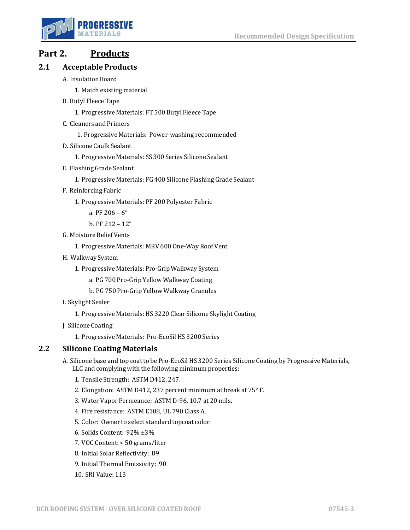

# **Part 2. Products**

# **2.1 Acceptable Products**

- A. Insulation Board
	- 1. Match existing material
- B. Butyl Fleece Tape
	- 1. Progressive Materials: FT 500 Butyl Fleece Tape
- C. Cleaners and Primers
	- 1. Progressive Materials: Power-washing recommended
- D. Silicone Caulk Sealant
	- 1. Progressive Materials: SS 300 Series Silicone Sealant
- E. Flashing Grade Sealant
	- 1. Progressive Materials: FG 400 Silicone Flashing Grade Sealant
- F. ReinforcingFabric
	- 1. Progressive Materials: PF 200 Polyester Fabric
		- a. PF 206 6"
		- b. PF 212 12"
- G. Moisture Relief Vents
	- 1. Progressive Materials: MRV 600 One-Way Roof Vent
- H. Walkway System
	- 1. Progressive Materials: Pro-Grip Walkway System
		- a. PG 700 Pro-Grip Yellow Walkway Coating
		- b. PG 750 Pro-Grip Yellow Walkway Granules
- I. Skylight Sealer
	- 1. Progressive Materials: HS 3220 Clear Silicone Skylight Coating
- J. SiliconeCoating
	- 1. Progressive Materials: Pro-EcoSil HS 3200 Series

# **2.2 Silicone Coating Materials**

- A. Silicone base and top coat to be Pro-EcoSil HS 3200 Series Silicone Coating by Progressive Materials, LLC and complying with the following minimum properties:
	- 1. Tensile Strength: ASTM D412, 247.
	- 2. Elongation: ASTM D412, 237 percent minimum at break at 75° F.
	- 3. Water Vapor Permeance: ASTM D-96, 10.7 at 20 mils.
	- 4. Fire resistance: ASTM E108, UL 790 Class A.
	- 5. Color: Owner to select standard topcoat color.
	- 6. Solids Content: 92% ±3%
	- 7. VOC Content: < 50 grams/liter
	- 8. Initial Solar Reflectivity: .89
	- 9. Initial Thermal Emissivity: .90
	- 10. SRI Value: 113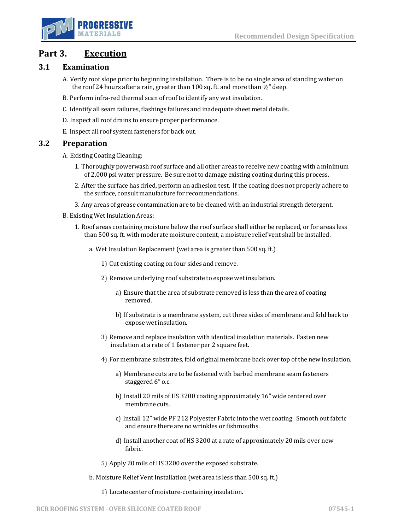

# **Part 3. Execution**

## **3.1 Examination**

- A. Verify roof slope prior to beginning installation. There is to be no single area of standing water on the roof 24 hours after a rain, greater than 100 sq. ft. and more than  $\frac{1}{2}$ " deep.
- B. Perform infra-red thermal scan of roof to identify any wet insulation.
- C. Identify all seam failures, flashings failures and inadequate sheet metal details.
- D. Inspect all roof drains to ensure proper performance.
- E. Inspect all roof system fasteners for back out.

#### **3.2 Preparation**

A. Existing Coating Cleaning:

- 1. Thoroughly powerwash roof surface and all other areas to receive new coating with a minimum of 2,000 psi water pressure. Be sure not to damage existing coating during this process.
- 2. After the surface has dried, perform an adhesion test. If the coating does not properly adhere to the surface, consult manufacture for recommendations.
- 3. Any areas of grease contamination are to be cleaned with an industrial strength detergent.
- B. Existing Wet Insulation Areas:
	- 1. Roof areas containing moisture below the roof surface shall either be replaced, or for areas less than 500 sq. ft. with moderate moisture content, a moisture relief vent shall be installed.
		- a. Wet Insulation Replacement(wet area is greater than 500 sq. ft.)
			- 1) Cut existing coating on four sides and remove.
			- 2) Remove underlying roof substrate to expose wet insulation.
				- a) Ensure that the area of substrate removed is less than the area of coating removed.
				- b) If substrate is a membrane system, cut three sides of membrane and fold back to exposewetinsulation.
			- 3) Remove and replace insulation with identical insulation materials. Fasten new insulation at a rate of 1 fastener per 2 square feet.
			- 4) For membrane substrates, fold original membrane back over top of the new insulation.
				- a) Membrane cuts are to be fastened with barbed membrane seam fasteners staggered 6" o.c.
				- b) Install 20 mils of HS 3200 coating approximately 16" wide centered over membrane cuts.
				- c) Install 12" wide PF 212 Polyester Fabric into the wet coating. Smooth out fabric and ensure there are no wrinkles or fishmouths.
				- d) Install another coat of HS 3200 at a rate of approximately 20 mils over new fabric.
			- 5) Apply 20 mils of HS 3200 over the exposed substrate.
		- b. Moisture Relief Vent Installation (wet area is less than 500 sq. ft.)

1) Locate center of moisture-containing insulation.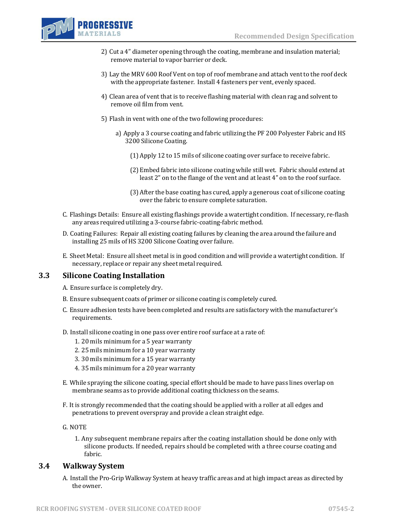

- 2) Cut a 4" diameter opening through the coating, membrane and insulation material; remove material to vapor barrier or deck.
- 3) Lay the MRV 600 Roof Vent on top of roof membrane and attach vent to the roof deck with the appropriate fastener. Install 4 fasteners per vent, evenly spaced.
- 4) Clean area of vent that is to receive flashing material with clean rag and solvent to remove oil film from vent.
- 5) Flash in vent with one of the two following procedures:
	- a) Apply a 3 course coating and fabric utilizing the PF 200 Polyester Fabric and HS 3200 Silicone Coating.
		- (1)Apply 12 to 15 mils of silicone coating over surface to receive fabric.
		- (2) Embed fabric into silicone coating while still wet. Fabric should extend at least 2" on to the flange of the vent and at least 4" on to the roof surface.
		- (3)After the base coating has cured, apply a generous coat of silicone coating over the fabric to ensure complete saturation.
- C. Flashings Details: Ensure all existing flashings provide a watertight condition. If necessary, re-flash any areas required utilizing a 3-course fabric-coating-fabric method.
- D. Coating Failures: Repair all existing coating failures by cleaning the area around the failure and installing 25 mils of HS 3200 Silicone Coating over failure.
- E. Sheet Metal: Ensure all sheet metal is in good condition and will provide a watertight condition. If necessary, replace or repair any sheet metal required.

## **3.3 Silicone Coating Installation**

- A. Ensure surface is completely dry.
- B. Ensure subsequent coats of primer or silicone coating is completely cured.
- C. Ensure adhesion tests have been completed and results are satisfactory with the manufacturer's requirements.
- D. Install silicone coating in one pass over entire roof surface at a rate of:
	- 1. 20 mils minimum for a 5 year warranty
	- 2. 25 mils minimum for a 10 year warranty
	- 3. 30 mils minimum for a 15 year warranty
	- 4. 35 mils minimum for a 20 year warranty
- E. While spraying the silicone coating, special effort should be made to have pass lines overlap on membrane seams as to provide additional coating thickness on the seams.
- F. It is strongly recommended that the coating should be applied with a roller at all edges and penetrations to prevent overspray and provide a clean straight edge.
- G. NOTE
	- 1. Any subsequent membrane repairs after the coating installation should be done only with silicone products. If needed, repairs should be completed with a three course coating and fabric.

## **3.4 Walkway System**

A. Install the Pro-Grip Walkway System at heavy traffic areas and at high impact areas as directed by the owner.